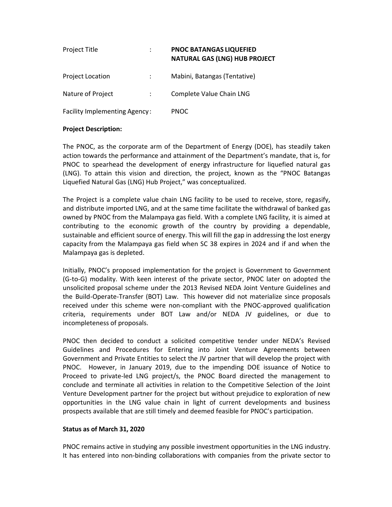| Project Title                        |  | <b>PNOC BATANGAS LIQUEFIED</b><br><b>NATURAL GAS (LNG) HUB PROJECT</b> |
|--------------------------------------|--|------------------------------------------------------------------------|
| <b>Project Location</b>              |  | Mabini, Batangas (Tentative)                                           |
| Nature of Project                    |  | Complete Value Chain LNG                                               |
| <b>Facility Implementing Agency:</b> |  | <b>PNOC</b>                                                            |

## **Project Description:**

The PNOC, as the corporate arm of the Department of Energy (DOE), has steadily taken action towards the performance and attainment of the Department's mandate, that is, for PNOC to spearhead the development of energy infrastructure for liquefied natural gas (LNG). To attain this vision and direction, the project, known as the "PNOC Batangas Liquefied Natural Gas (LNG) Hub Project," was conceptualized.

The Project is a complete value chain LNG facility to be used to receive, store, regasify, and distribute imported LNG, and at the same time facilitate the withdrawal of banked gas owned by PNOC from the Malampaya gas field. With a complete LNG facility, it is aimed at contributing to the economic growth of the country by providing a dependable, sustainable and efficient source of energy. This will fill the gap in addressing the lost energy capacity from the Malampaya gas field when SC 38 expires in 2024 and if and when the Malampaya gas is depleted.

Initially, PNOC's proposed implementation for the project is Government to Government (G‐to‐G) modality. With keen interest of the private sector, PNOC later on adopted the unsolicited proposal scheme under the 2013 Revised NEDA Joint Venture Guidelines and the Build‐Operate‐Transfer (BOT) Law. This however did not materialize since proposals received under this scheme were non‐compliant with the PNOC‐approved qualification criteria, requirements under BOT Law and/or NEDA JV guidelines, or due to incompleteness of proposals.

PNOC then decided to conduct a solicited competitive tender under NEDA's Revised Guidelines and Procedures for Entering into Joint Venture Agreements between Government and Private Entities to select the JV partner that will develop the project with PNOC. However, in January 2019, due to the impending DOE issuance of Notice to Proceed to private-led LNG project/s, the PNOC Board directed the management to conclude and terminate all activities in relation to the Competitive Selection of the Joint Venture Development partner for the project but without prejudice to exploration of new opportunities in the LNG value chain in light of current developments and business prospects available that are still timely and deemed feasible for PNOC's participation.

## **Status as of March 31, 2020**

PNOC remains active in studying any possible investment opportunities in the LNG industry. It has entered into non‐binding collaborations with companies from the private sector to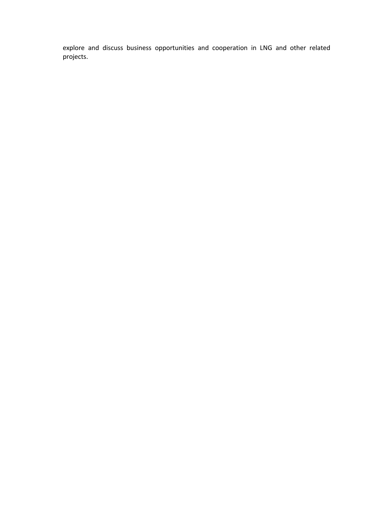explore and discuss business opportunities and cooperation in LNG and other related projects.